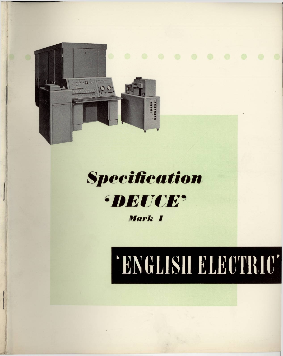

## **Specification** ·DEUCE' **Mark I**

# 'ENGLISH ELECTRIC'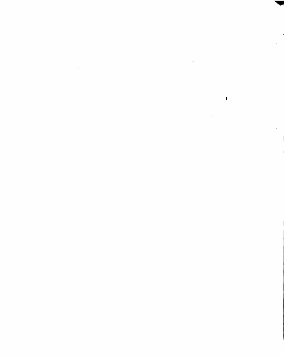$\label{eq:2.1} \frac{1}{\sqrt{2}}\left(\frac{1}{\sqrt{2}}\right)^{2} \left(\frac{1}{\sqrt{2}}\right)^{2} \left(\frac{1}{\sqrt{2}}\right)^{2} \left(\frac{1}{\sqrt{2}}\right)^{2} \left(\frac{1}{\sqrt{2}}\right)^{2} \left(\frac{1}{\sqrt{2}}\right)^{2} \left(\frac{1}{\sqrt{2}}\right)^{2} \left(\frac{1}{\sqrt{2}}\right)^{2} \left(\frac{1}{\sqrt{2}}\right)^{2} \left(\frac{1}{\sqrt{2}}\right)^{2} \left(\frac{1}{\sqrt{2}}\right)^{2} \left(\$  $\mathbf{F}$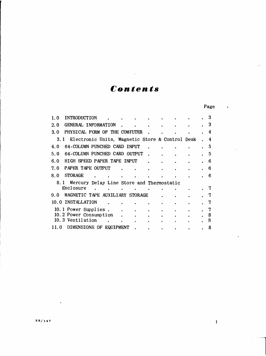### *Contents*

| 1.0   | INTRODUCTION                                        |                                           |           |  |  |  | 3 |
|-------|-----------------------------------------------------|-------------------------------------------|-----------|--|--|--|---|
| 2.0   | GENERAL INFORMATION                                 |                                           |           |  |  |  | 3 |
| 3.0   | PHYSICAL FORM OF THE COMFUTER                       |                                           |           |  |  |  | 4 |
|       | 3.1 Electronic Units, Magnetic Store & Control Desk |                                           |           |  |  |  | 4 |
| 4.0   | 64-COLUMN PUNCHED CARD INPUT                        |                                           |           |  |  |  | 5 |
| 5.0   | 64-COLUMN PUNCHED CARD OUTPUT                       |                                           |           |  |  |  | 5 |
| 6.0   | HIGH SPEED PAPER TAPE INPUT                         |                                           |           |  |  |  | 6 |
| 7. 0  | PAPER TAPE OUTPUT                                   |                                           |           |  |  |  | 6 |
| 8.0   | <b>STORAGE</b>                                      |                                           |           |  |  |  | 6 |
|       | 8.1                                                 | Mercury Delay Line Store and Thermostatic |           |  |  |  |   |
|       | Enclosure                                           |                                           |           |  |  |  |   |
| 9. O  | MAGNETIC TAPE AUXILIARY STORAGE                     |                                           |           |  |  |  |   |
|       | 10.0 INSTALLATION                                   |                                           |           |  |  |  |   |
|       | 10.1 Power Supplies.                                |                                           |           |  |  |  | 7 |
|       | 10.2 Power Consumption                              |                                           |           |  |  |  | 8 |
|       | 10.3 Ventilation                                    |                                           |           |  |  |  | 8 |
| 11. O | DIMENSIONS OF                                       |                                           | EQUIPMENT |  |  |  | 8 |

**ES/147** 1

Page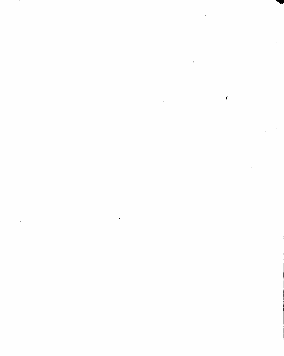$\label{eq:2.1} \frac{1}{2} \int_{\mathbb{R}^3} \frac{1}{\sqrt{2}} \, \frac{1}{\sqrt{2}} \, \frac{1}{\sqrt{2}} \, \frac{1}{\sqrt{2}} \, \frac{1}{\sqrt{2}} \, \frac{1}{\sqrt{2}} \, \frac{1}{\sqrt{2}} \, \frac{1}{\sqrt{2}} \, \frac{1}{\sqrt{2}} \, \frac{1}{\sqrt{2}} \, \frac{1}{\sqrt{2}} \, \frac{1}{\sqrt{2}} \, \frac{1}{\sqrt{2}} \, \frac{1}{\sqrt{2}} \, \frac{1}{\sqrt{2}} \, \frac{1}{\sqrt{2}} \,$  $\mathbf{r} = \mathbf{r} \cdot \mathbf{r}$  $\label{eq:2.1} \frac{1}{\sqrt{2}}\int_{\mathbb{R}^3}\frac{1}{\sqrt{2}}\left(\frac{1}{\sqrt{2}}\right)^2\frac{1}{\sqrt{2}}\left(\frac{1}{\sqrt{2}}\right)^2\frac{1}{\sqrt{2}}\left(\frac{1}{\sqrt{2}}\right)^2\frac{1}{\sqrt{2}}\left(\frac{1}{\sqrt{2}}\right)^2.$  $\label{eq:2.1} \mathcal{L}_{\text{max}}(\mathcal{L}_{\text{max}}) = \mathcal{L}_{\text{max}}(\mathcal{L}_{\text{max}})$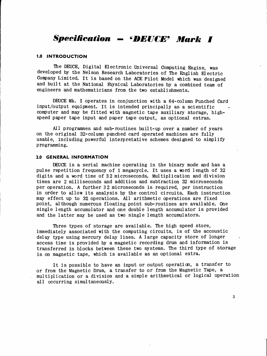### *Specification — ^DEUCE9 Mark I*

#### **1.0 INTRODUCTION**

The DEUCE, Digital Electronic Universal Computing Engine, was developed by the Nelson Research Laboratories of The English Electric Company Limited. It is based on the ACE Pilot Model which was designed and built at the National Physical Laboratories by a combined team of engineers and mathematicians from the two establishments.

DEUCE Mk. I operates in conjunction with a 64-column Punched Card input/output equipment. It is intended principally as a scientific computer and may be fitted with magnetic tape auxiliary storage, highspeed paper tape input and paper tape output, as optional extras.

All programmes and sub-routines built-up over a number of years on the original 32-column punched card operated machines are fully usable, including powerful interpretative schemes designed to simplify programming.

#### **2.0 GENERAL INFORMATION**

DEUCE is a serial machine operating in the binary mode and has a pulse repetition frequency of <sup>1</sup> megacycle. It uses a word length of <sup>32</sup> digits and a word time of 32 microseconds. Multiplication and division times are <sup>2</sup> milliseconds and addition and subtraction <sup>32</sup> microseconds per operation. <sup>A</sup> further 32 microseconds is required, per instruction in order to allow its analysis by the control circuits. Each instruction may effect up to 32 operations. All arithmetic operations are fixed point, although numerous floating point sub-routines are available. One single length accumulator and one double length accumulator is provided and the latter may be used as two single length accumulators.

Three types of storage are available. The high speed store, immediately associated with the computing circuits, is of the accoustic delay type using mercury delay lines. <sup>A</sup> large capacity store of longer access time is provided by a magnetic recording drum and information is transferred in blocks between these two systems. The third type of storage is on magnetic tape, which is available as an optional extra.

It is possible to have an input or output operation, <sup>a</sup> transfer to or from the Magnetic Drum, a transfer to or from the Magnetic Tape, a multiplication or a division and a simple arithmetical or logical operation all occurring simultaneously.

3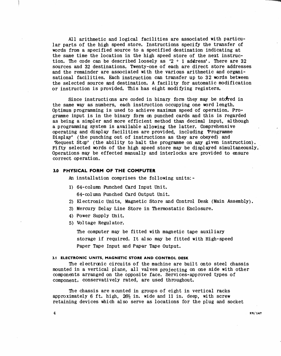All arithmetic and logical facilities are associated with particular parts of the high speed store. Instructions specify the transfer of words from a specified source to a specified destination indicating at the same time the location in the high speed store of the next instruction. The code can be described loosely as '2 + 1 address'. There are 32 sources and <sup>32</sup> destinations. Twenty-one of each are direct store addresses and the remainder are associated with the various arithmetic and organisational facilities. Each instruction can transfer up to 32 words between the selected source and destination. <sup>A</sup> facility for automatic modification or instruction is provided. This has eight modifying registers.

Since instructions are coded in binary form they may be stored in the same way as numbers, each instruction occupying one word length. Optimum programming is used to achieve maximum speed of operation. Programme input is in the binary form on punched cards and this is regarded as being a simpler and more efficient method than decimal input, although a programming system is available allowing the latter. Comprehensive operating and display facilities are provided, including Programme Display' (the punching out of instructions as they are obeyed) and Request Stop' (the ability to halt the programme on any given instruction). Fifty selected words of the high speed store may be displayed simultaneously. Operations may be effected manually and interlocks are provided to ensure correct operation.

#### **3.0 PHYSICAL FORM OF THE COMPUTER**

An installation comprises the following units:-

- 1) 64-column Punched Card Input Unit. 64-column Punched Card Output Unit.
- 2) Electronic Units, Magnetic Store and Control Desk (Main Assembly).
- 3) Mercury Delay Line Store in Thermostatic Enclosure.
- 4) Power Supply Unit.
- 5) Voltage Regulator.

The computer may be fitted with magnetic tape auxiliary storage if required. It also may be fitted with High-speed Paper Tape Input and Paper Tape Output.

#### **3.1 ELECTRONIC UNITS, MAGNETIC STORE AND CONTROL DESK**

The electronic circuits of the machine are built onto steel chassis mounted in a vertical plane, all valves projecting on one side with other components arranged on the opposite face. Services-approved types of component, conservatively rated, are used throughout.

The chassis are mounted in groups of eight in vertical racks approximately 6 ft. high,  $26\frac{1}{2}$  in. wide and 11 in. deep, with screw retaining devices which also serve as locations for the plug and socket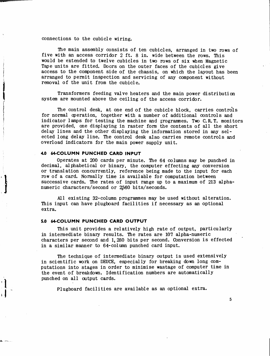#### connections to the cubicle wiring.

The main assembly consists of ten cubicles, arranged in two rows of five with an access corridor <sup>2</sup> ft. <sup>8</sup> in. wide between the rows. This would be extended to twelve cubicles in two rows of six when Magnetic Tape units are fitted. Doors on the outer faces of the cubicles give access to the component side of the chassis, on which the layout has been arranged to permit inspection and servicing of any component without removal of the unit from the cubicle.

Transformers feeding valve heaters and the main power distribution system are mounted above the ceiling of the access corridor.

The control desk, at one end of the cubicle block, carries controls for normal operation, together with a number of additional controls and indicator lamps for testing the machine and programmes. Two C.R.T. monitors are provided, one displaying in raster form the contents of all the short delay lines and the other displaying the information stored in any selected long delay line. The control desk also carries remote controls and overload indicators for the main power supply unit.

#### **4.0 64-COLUMN PUNCHED CARD INPUT**

Operates at 200 cards per minute. The 64 columns may be punched in decimal, alphabetical or binary, the computer effecting any conversion or translation concurrently, reference being made to the input for each row of a card. Normally time is available for computation between successive cards. The rates of input range up to a maximum of <sup>213</sup> alphanumeric characters/second or 2560 bits/seconds.

All existing 32-column programmes may be used without alteration. This input can have plugboard facilities if necessary as an optional extra.

#### **5.0 64-COLUMN PUNCHED CARD OUTPUT**

This unit provides a relatively high rate of output, particularly in intermediate binary results. The rates are <sup>107</sup> alpha-numeric characters per second and 1,280 bits per second. Conversion is effected in a similar manner to 64-column punched card input.

The technique of intermediate binary output is used extensively in scientific work on DEUCE, especially for breaking down long computations into stages in order to minimise wastage of computer time in the event of breakdown. Identification numbers are automatically punched on all output cards.

Plugboard facilities are available as an optional extra.

5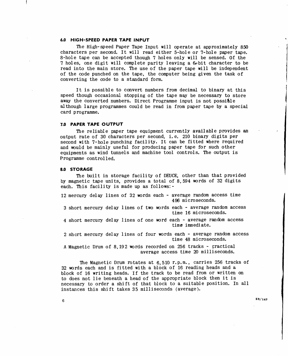#### **6.0 HIGH-SPEED PAPER TAPE INPUT**

The High-speed Paper Tape Input will operate at approximately 850 characters per second. It will read either 5-hole or 7-hole paper tape. 8-hole tape can be accepted though 7 holes only will be sensed. Of the <sup>7</sup> holes, one digit will complete parity leaving a 6rbit character to be read into the main store. The use of the paper tape will be independent of the code punched on the tape, the computer being given the task of converting the code to a standard form.

It is possible to convert numbers from decimal to binary at this speed though occasional stopping of the tape may be necessary to store away the converted numbers. Direct Programme input is not possible although large programmes could be read in from paper tape by a special card programme.

#### **7.0 PAPER TAPE OUTPUT**

The reliable paper tape equipment currently available provides an output rate of 30 characters per second, i. e. <sup>210</sup> binary digits per second with 7-hole punching facility. It can be fitted where required and would be mainly useful for producing paper tape for such other equipments as wind tunnels and machine tool controls. The output is Programme controlled.

#### **8.0 STORAGE**

The built in storage facility of DEUCE, other than that provided by magnetic tape units, provides a total of 8,594 words of <sup>32</sup> digits each. This facility is made up as follows: -

- <sup>12</sup> mercury delay lines of 32 words each average random access time 496 microseconds.
- <sup>3</sup> short mercury delay lines of two words each average random access time 16 microseconds.
- 4 short mercury delay lines of one word each average random access time immediate.
- <sup>2</sup> short mercury delay lines of four words each average random access time 48 microseconds.

<sup>A</sup> Magnetic Drum of 8,192 words recorded on 256 tracks - practical average access time 20 milliseconds.

The Magnetic Drum rotates at 6,510 r.p.m., carries 256 tracks of <sup>32</sup> words each and is fitted with a block of <sup>16</sup> reading heads and a block of <sup>16</sup> writing heads. If the track to be read from or written on to does not lie beneath <sup>a</sup> head of the appropriate block then it is necessary to order a shift of that block to a suitable position. In all instances this shift takes 35 milliseconds (average).

**ES/147**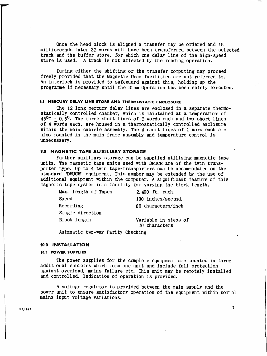Once the head block is aligned a transfer may be ordered and <sup>15</sup> milliseconds later <sup>32</sup> words will have been transferred between the selected track and the buffer store, for which one delay line of the high-speed store is used. <sup>A</sup> track is not affected by the reading operation.

During either the shifting or the transfer computing may proceed freely provided that the Magnetic Drum facilities are not referred to. An interlock is provided to safeguard against this, holding up the programme if necessary until the Drum Operation has been safely executed.

#### **8.1 MERCURY DELAY LINE STORE AND THERMOSTATIC ENCLOSURE**

The <sup>12</sup> long mercury delay lines are enclosed in a separate thermostatically controlled chamber, which is maintained at a temperature of  $45^{\circ}$ C + 0.5<sup>o</sup>. The three short lines of 2 words each and two short lines of 4 words each, are housed in a thermostatically controlled enclosure within the main cubicle assembly. The <sup>4</sup> short lines of <sup>1</sup> word each are also mounted in the main frame assembly and temperature control is unnecessary.

#### **9.0 MAGNETIC TAPE AUXILIARY STORAGE**

Further auxiliary storage can be supplied utilising magnetic tape units. The magnetic tape units used with DEUCE are of the twin transporter type. Up to 4 twin tape-transporters can be accommodated on the standard 'DEUCE' equipment. This number may be extended by the use of additional equipment within the computer. <sup>A</sup> significant feature of this magnetic tape system is a facility for varying the block length.

| Max. length of Tapes | 2,400 ft. each.                       |  |  |  |
|----------------------|---------------------------------------|--|--|--|
| Speed                | 100 inches/second.                    |  |  |  |
| Recording            | 80 characters/inch                    |  |  |  |
| Single direction     |                                       |  |  |  |
| Block length         | Variable in steps of<br>10 characters |  |  |  |

Automatic two-way Parity Checking

#### **10.0 INSTALLATION**

#### **10.1 POWER SUPPLIES**

The power supplies for the complete equipment are mounted in three additional cubicles which form one unit and include full protection against overload, mains failure etc. This unit may be remotely installed and controlled. Indication of operation is provided.

<sup>A</sup> voltage regulator is provided between the main supply and the power unit to ensure satisfactory operation of the equipment within normal mains input voltage variations.

 $ES/147$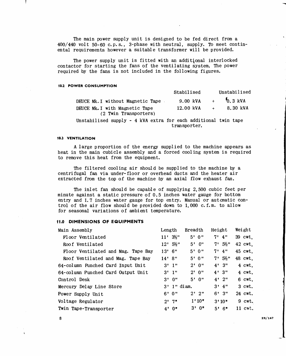The main power supply unit is designed to be fed direct from a  $400/440$  volt 50-60 c.p.s., 3-phase with neutral, supply. To meet continental requirements however a suitable transformer will be provided.

The power supply unit is fitted with an additional interlocked contactor for starting the fans of the ventilating system. The power required by the fans is not included in the following figures.

#### **10.2 POWER CONSUMPTION**

|                                                         | Stabilised                     | Unstabilised                        |
|---------------------------------------------------------|--------------------------------|-------------------------------------|
| DEUCE Mk. I without Magnetic Tape                       | 9.00 kVA                       | $+$ $\frac{1}{2}$ $0.3 \text{ kVA}$ |
| DEUCE Mk. I with Magnetic Tape<br>(2 Twin Transporters) | $12.00 \text{ kVA}$ + 8.30 kVA |                                     |

Unstabilised supply - 4 kVA extra for each additional twin tape transporter.

#### **10.3 VENTILATION**

<sup>A</sup> large proportion of the energy supplied to the machine appears as heat in the main cubicle assembly and a forced cooling system is required to remove this heat from the equipment.

The filtered cooling air should be supplied to the machine by a centrifugal fan via under-floor or overhead ducts and the heater air extracted from the top of the machine by an axial flow exhaust fan.

The inlet fan should be capable of supplying 2,500 cubic feet per minute against a static pressure of 0.5 inches water gauge for bottom entry and 1.7 inches water gauge for top entry. Manual or automatic control of the air flow should be provided down to 1,000 c. f.m. to allow for seasonal variations of ambient temperature.

#### **11.0 DIMENSIONS OF EQUIPMENTS**

| Main Assembly                      | Length                 | <b>Breadth</b> | Height             | Weight            |  |
|------------------------------------|------------------------|----------------|--------------------|-------------------|--|
| Floor Ventilated                   | $11'$ $3\frac{1}{2}$ " | 5'0''          | $7'$ 4"            | 39 cwt.           |  |
| Roof Ventilated                    | $12'$ 5½"              | $5'$ $0''$     | $7'5\frac{1}{2}''$ | 42 cwt.           |  |
| Floor Ventilated and Mag. Tape Bay | $13'$ 6"               | 5'0''          | $7'$ 4"            | 45 cwt.           |  |
| Roof Ventilated and Mag. Tape Bay  | 14' 8''                | 5'0''          | $7'5\frac{1}{2}''$ | 48 cwt.           |  |
| 64-column Punched Card Input Unit  | $3'$ $1''$             | 2'0''          | 4'3''              | $4 \text{ cut}$ . |  |
| 64-column Punched Card Output Unit | $3'$ $1''$             | 2'0''          | 4'3''              | $4$ cwt.          |  |
| Control Desk                       | $3'$ $0''$             | 5'0''          | 4'2''              | $6$ cwt.          |  |
| Mercury Delay Line Store           | $3'$ 1" diam.          |                | $3'$ 4"            | $3$ cwt.          |  |
| Power Supply Unit                  | $6'$ 0"                | $2'$ $2"$      | $6'$ $3''$         | 24 cwt.           |  |
| Voltage Regulator                  | $2'$ 7"                | 1'10"          | 3'10''             | 9 cwt.            |  |
| Twin Tape-Transporter              | 4'0''                  | $3'$ 0"        | $5'$ 6"            | $11$ cwt.         |  |
|                                    |                        |                |                    |                   |  |

**8 ES/147**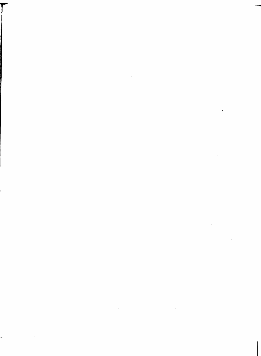$\label{eq:2.1} \frac{1}{\sqrt{2}}\int_{0}^{\infty}\frac{1}{\sqrt{2\pi}}\left(\frac{1}{\sqrt{2\pi}}\right)^{2\alpha} \frac{1}{\sqrt{2\pi}}\int_{0}^{\infty}\frac{1}{\sqrt{2\pi}}\left(\frac{1}{\sqrt{2\pi}}\right)^{\alpha} \frac{1}{\sqrt{2\pi}}\int_{0}^{\infty}\frac{1}{\sqrt{2\pi}}\frac{1}{\sqrt{2\pi}}\frac{1}{\sqrt{2\pi}}\frac{1}{\sqrt{2\pi}}\frac{1}{\sqrt{2\pi}}\frac{1}{\sqrt{2\pi}}\frac{1}{\sqrt{2\pi}}$ 

 $\mathcal{L}(\mathcal{L}(\mathcal{L}))$  and  $\mathcal{L}(\mathcal{L}(\mathcal{L}))$  . As in the  $\mathcal{L}(\mathcal{L})$ 

 $\label{eq:2.1} \frac{1}{\sqrt{2}}\int_{0}^{\infty}\frac{1}{\sqrt{2\pi}}\left(\frac{1}{\sqrt{2\pi}}\right)^{2}d\mu\left(\frac{1}{\sqrt{2\pi}}\right)\frac{d\mu}{d\mu}d\mu\left(\frac{1}{\sqrt{2\pi}}\right).$ 

 $\label{eq:2.1} \frac{1}{\sqrt{2}}\left(\frac{1}{\sqrt{2}}\right)^{2} \left(\frac{1}{\sqrt{2}}\right)^{2} \left(\frac{1}{\sqrt{2}}\right)^{2} \left(\frac{1}{\sqrt{2}}\right)^{2} \left(\frac{1}{\sqrt{2}}\right)^{2} \left(\frac{1}{\sqrt{2}}\right)^{2} \left(\frac{1}{\sqrt{2}}\right)^{2} \left(\frac{1}{\sqrt{2}}\right)^{2} \left(\frac{1}{\sqrt{2}}\right)^{2} \left(\frac{1}{\sqrt{2}}\right)^{2} \left(\frac{1}{\sqrt{2}}\right)^{2} \left(\$